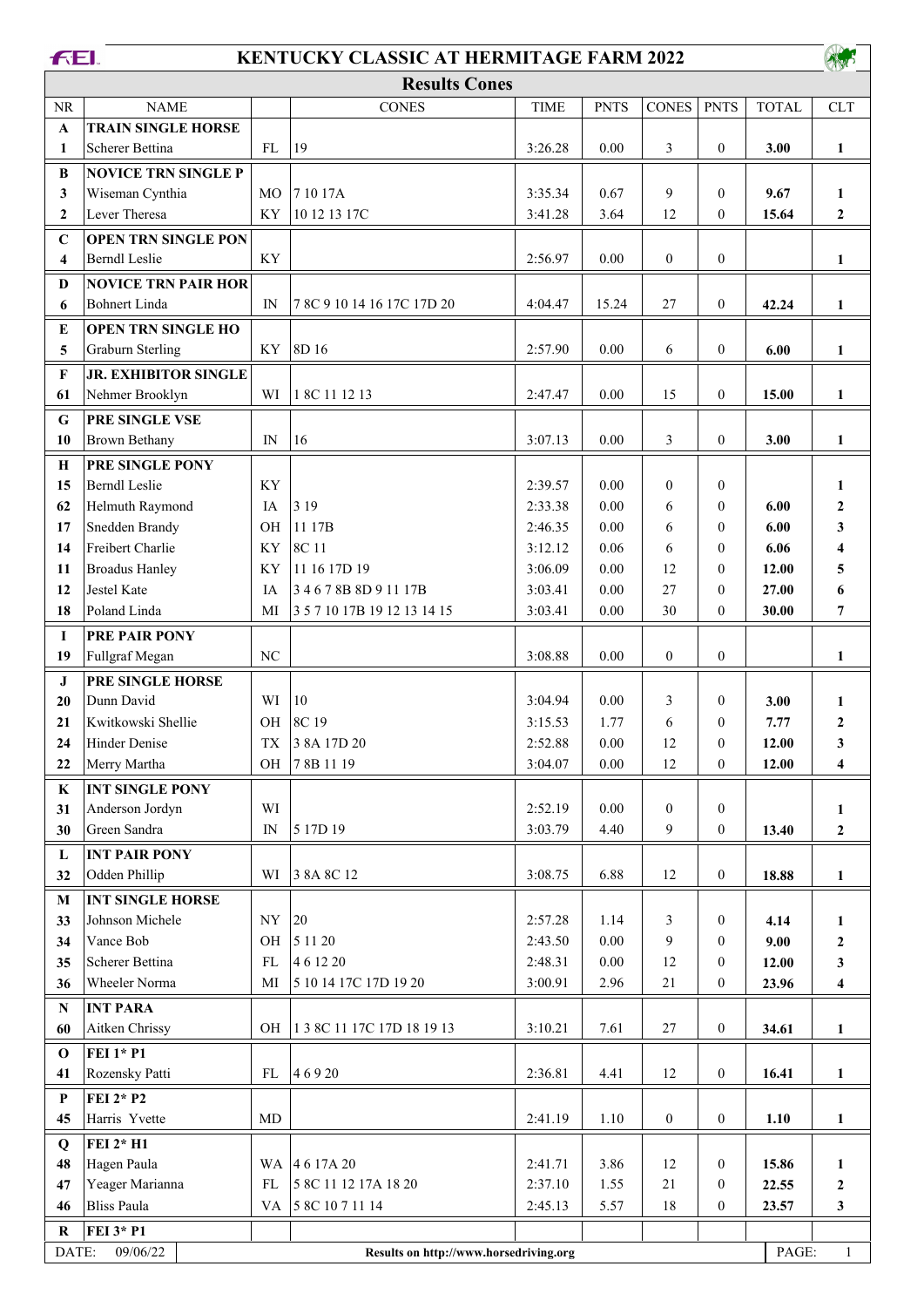## **FEI.**

## **KENTUCKY CLASSIC AT HERMITAGE FARM 2022**

| <b>Results Cones</b> |                            |           |                            |             |             |              |              |              |              |
|----------------------|----------------------------|-----------|----------------------------|-------------|-------------|--------------|--------------|--------------|--------------|
| NR.                  | <b>NAME</b>                |           | <b>CONES</b>               | <b>TIME</b> | <b>PNTS</b> | <b>CONES</b> | <b>PNTS</b>  | <b>TOTAL</b> | <b>CLT</b>   |
| $\mathbf{A}$         | <b>TRAIN SINGLE HORSE</b>  |           |                            |             |             |              |              |              |              |
| 1                    | Scherer Bettina            | FL        | 19                         | 3:26.28     | 0.00        | 3            | $\Omega$     | 3.00         |              |
| B                    | <b>NOVICE TRN SINGLE P</b> |           |                            |             |             |              |              |              |              |
| $\mathbf{3}$         | Wiseman Cynthia            | MO.       | 7 10 17A                   | 3:35.34     | 0.67        | 9            | $\theta$     | 9.67         |              |
| $\overline{2}$       | Lever Theresa              | ΚY        | 10 12 13 17C               | 3:41.28     | 3.64        | 12           | $\mathbf{0}$ | 15.64        | $\mathbf{2}$ |
| $\mathbf C$          | <b>OPEN TRN SINGLE PON</b> |           |                            |             |             |              |              |              |              |
| $\overline{\bf{4}}$  | Berndl Leslie              | <b>KY</b> |                            | 2:56.97     | 0.00        | $\Omega$     | $\theta$     |              |              |
| D                    | <b>NOVICE TRN PAIR HOR</b> |           |                            |             |             |              |              |              |              |
| 6                    | Bohnert Linda              | IN        | 7 8C 9 10 14 16 17C 17D 20 | 4:04.47     | 15.24       | 27           | $\theta$     | 42.24        |              |
| E                    | <b>OPEN TRN SINGLE HO</b>  |           |                            |             |             |              |              |              |              |

**AND** 

| 3                                                                                      | Wiseman Cynthia             | MO                       | 71017A                      | 3:35.34 | 0.67     | 9                | $\theta$         | 9.67  | 1                       |
|----------------------------------------------------------------------------------------|-----------------------------|--------------------------|-----------------------------|---------|----------|------------------|------------------|-------|-------------------------|
| $\overline{2}$                                                                         | Lever Theresa               | KY                       | 10 12 13 17C                | 3:41.28 | 3.64     | 12               | $\mathbf{0}$     | 15.64 | $\boldsymbol{2}$        |
| $\mathbf C$                                                                            | <b>OPEN TRN SINGLE PON</b>  |                          |                             |         |          |                  |                  |       |                         |
| 4                                                                                      | <b>Berndl Leslie</b>        | KY                       |                             | 2:56.97 | $0.00\,$ | $\boldsymbol{0}$ | $\boldsymbol{0}$ |       | 1                       |
| D                                                                                      | <b>NOVICE TRN PAIR HOR</b>  |                          |                             |         |          |                  |                  |       |                         |
| 6                                                                                      | <b>Bohnert Linda</b>        | IN                       | 7 8C 9 10 14 16 17C 17D 20  | 4:04.47 | 15.24    | 27               | $\boldsymbol{0}$ | 42.24 | $\mathbf{1}$            |
| E                                                                                      | <b>OPEN TRN SINGLE HO</b>   |                          |                             |         |          |                  |                  |       |                         |
| 5                                                                                      | <b>Graburn Sterling</b>     | KY                       | 8D 16                       | 2:57.90 | 0.00     | 6                | $\boldsymbol{0}$ | 6.00  | $\mathbf{1}$            |
| $\mathbf F$                                                                            | <b>JR. EXHIBITOR SINGLE</b> |                          |                             |         |          |                  |                  |       |                         |
| 61                                                                                     | Nehmer Brooklyn             | WI                       | 1 8C 11 12 13               | 2:47.47 | 0.00     | 15               | $\boldsymbol{0}$ | 15.00 | 1                       |
| G                                                                                      | PRE SINGLE VSE              |                          |                             |         |          |                  |                  |       |                         |
| 10                                                                                     | <b>Brown Bethany</b>        | IN                       | 16                          | 3:07.13 | 0.00     | 3                | $\overline{0}$   | 3.00  | 1                       |
| $\bf H$                                                                                | PRE SINGLE PONY             |                          |                             |         |          |                  |                  |       |                         |
| 15                                                                                     | <b>Berndl Leslie</b>        | KY                       |                             | 2:39.57 | 0.00     | $\mathbf{0}$     | $\overline{0}$   |       | 1                       |
| 62                                                                                     | Helmuth Raymond             | IA                       | 3 1 9                       | 2:33.38 | $0.00\,$ | 6                | $\theta$         | 6.00  | $\boldsymbol{2}$        |
| 17                                                                                     | Snedden Brandy              | OH                       | 11 17B                      | 2:46.35 | 0.00     | 6                | $\overline{0}$   | 6.00  | 3                       |
| 14                                                                                     | Freibert Charlie            | KY                       | 8C 11                       | 3:12.12 | 0.06     | 6                | $\theta$         | 6.06  |                         |
| 11                                                                                     | <b>Broadus Hanley</b>       | KY                       | 11 16 17D 19                | 3:06.09 | 0.00     | 12               | $\theta$         | 12.00 | 4<br>5                  |
| 12                                                                                     | <b>Jestel Kate</b>          | IA                       | 34678B8D91117B              | 3:03.41 | $0.00\,$ | 27               | $\mathbf{0}$     | 27.00 | 6                       |
| 18                                                                                     | Poland Linda                | MI                       | 3 5 7 10 17B 19 12 13 14 15 | 3:03.41 | 0.00     | 30               | $\overline{0}$   | 30.00 | 7                       |
|                                                                                        |                             |                          |                             |         |          |                  |                  |       |                         |
| I                                                                                      | PRE PAIR PONY               |                          |                             |         |          |                  |                  |       |                         |
| 19                                                                                     | Fullgraf Megan              | NC                       |                             | 3:08.88 | 0.00     | $\boldsymbol{0}$ | $\boldsymbol{0}$ |       | 1                       |
| J                                                                                      | PRE SINGLE HORSE            |                          |                             |         |          |                  |                  |       |                         |
| 20                                                                                     | Dunn David                  | WI                       | 10                          | 3:04.94 | 0.00     | 3                | $\theta$         | 3.00  | 1                       |
| 21                                                                                     | Kwitkowski Shellie          | OH                       | 8C 19                       | 3:15.53 | 1.77     | 6                | $\theta$         | 7.77  | $\boldsymbol{2}$        |
| 24                                                                                     | Hinder Denise               | TX                       | 3 8A 17D 20                 | 2:52.88 | 0.00     | 12               | $\mathbf{0}$     | 12.00 | 3                       |
| 22                                                                                     | Merry Martha                | OH                       | 78B 1119                    | 3:04.07 | 0.00     | 12               | $\mathbf{0}$     | 12.00 | $\overline{\mathbf{4}}$ |
| $\bf K$                                                                                | <b>INT SINGLE PONY</b>      |                          |                             |         |          |                  |                  |       |                         |
| 31                                                                                     | Anderson Jordyn             | WI                       |                             | 2:52.19 | 0.00     | $\boldsymbol{0}$ | $\mathbf{0}$     |       | 1                       |
| 30                                                                                     | Green Sandra                | IN                       | 5 17D 19                    | 3:03.79 | 4.40     | 9                | $\overline{0}$   | 13.40 | $\boldsymbol{2}$        |
| $\mathbf L$                                                                            | <b>INT PAIR PONY</b>        |                          |                             |         |          |                  |                  |       |                         |
| 32                                                                                     | Odden Phillip               | WI                       | 3 8 A 8 C 12                | 3:08.75 | 6.88     | 12               | $\boldsymbol{0}$ | 18.88 | 1                       |
| M                                                                                      | <b>INT SINGLE HORSE</b>     |                          |                             |         |          |                  |                  |       |                         |
| 33                                                                                     | Johnson Michele             | $\ensuremath{\text{NY}}$ | 20                          | 2:57.28 | 1.14     | 3                | $\overline{0}$   | 4.14  | 1                       |
| 34                                                                                     | Vance Bob                   | OH                       | 5 11 20                     | 2:43.50 | 0.00     | 9                | $\overline{0}$   | 9.00  | $\boldsymbol{2}$        |
| 35                                                                                     | Scherer Bettina             | FL                       | 4 6 12 20                   | 2:48.31 | $0.00\,$ | 12               | $\mathbf{0}$     | 12.00 | $\mathbf{3}$            |
| 36                                                                                     | Wheeler Norma               | MI                       | 5 10 14 17C 17D 19 20       | 3:00.91 | 2.96     | 21               | $\boldsymbol{0}$ | 23.96 | $\overline{\mathbf{4}}$ |
| ${\bf N}$                                                                              | <b>INT PARA</b>             |                          |                             |         |          |                  |                  |       |                         |
| 60                                                                                     | Aitken Chrissy              | OH                       | 1 3 8C 11 17C 17D 18 19 13  | 3:10.21 | 7.61     | 27               | $\boldsymbol{0}$ | 34.61 | $\mathbf{1}$            |
| $\bf{0}$                                                                               | <b>FEI 1* P1</b>            |                          |                             |         |          |                  |                  |       |                         |
| 41                                                                                     | Rozensky Patti              | FL                       | 46920                       | 2:36.81 | 4.41     | 12               | $\boldsymbol{0}$ | 16.41 | $\mathbf{1}$            |
| P                                                                                      | <b>FEI 2* P2</b>            |                          |                             |         |          |                  |                  |       |                         |
| 45                                                                                     | Harris Yvette               | MD                       |                             | 2:41.19 | 1.10     | $\boldsymbol{0}$ | $\boldsymbol{0}$ | 1.10  | 1                       |
| Q                                                                                      | FEI 2* H1                   |                          |                             |         |          |                  |                  |       |                         |
| 48                                                                                     | Hagen Paula                 |                          | WA 4617A 20                 | 2:41.71 | 3.86     | 12               | $\boldsymbol{0}$ | 15.86 | $\mathbf{1}$            |
| 47                                                                                     | Yeager Marianna             | ${\rm FL}$               | 5 8C 11 12 17A 18 20        | 2:37.10 | 1.55     | 21               | $\boldsymbol{0}$ | 22.55 | $\boldsymbol{2}$        |
| 46                                                                                     | <b>Bliss Paula</b>          | VA                       | 5 8C 10 7 11 14             | 2:45.13 | 5.57     | 18               | $\boldsymbol{0}$ | 23.57 | $\mathbf{3}$            |
| $\bf R$                                                                                | FEI 3* P1                   |                          |                             |         |          |                  |                  |       |                         |
| DATE:<br>09/06/22<br>PAGE:<br>Results on http://www.horsedriving.org<br>$\overline{1}$ |                             |                          |                             |         |          |                  |                  |       |                         |